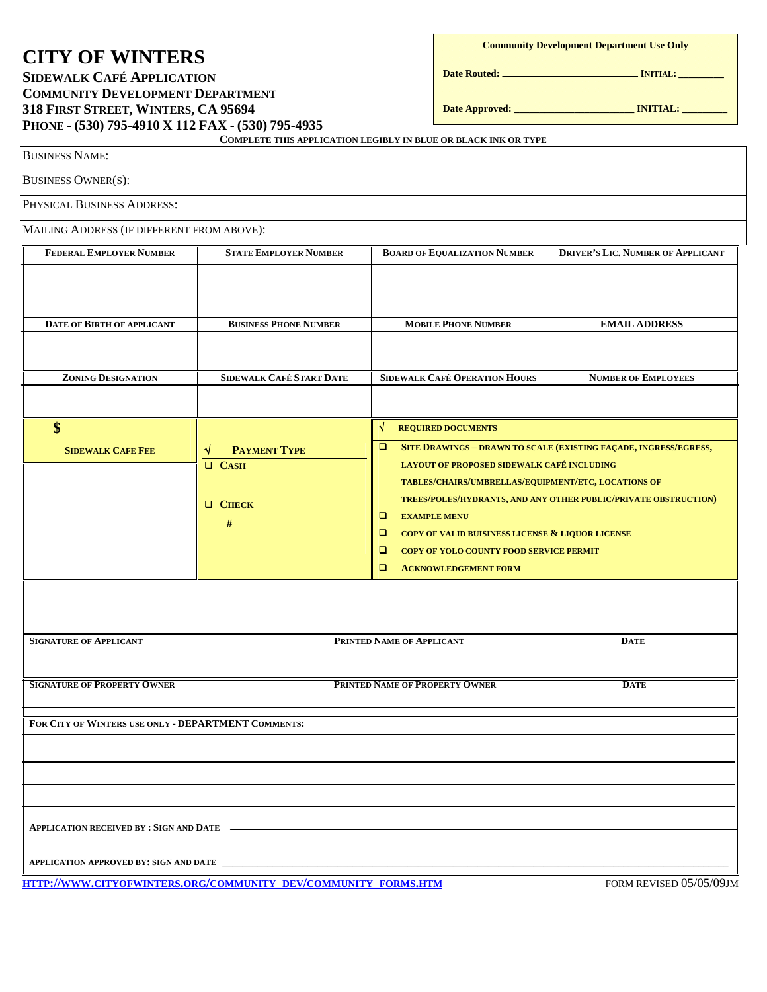# **CITY OF WINTERS**

## **SIDEWALK CAFÉ APPLICATION COMMUNITY DEVELOPMENT DEPARTMENT 318 FIRST STREET, WINTERS, CA 95694 PHONE - (530) 795-4910 X 112 FAX - (530) 795-4935**

**Community Development Department Use Only** 

**Date Routed: INITIAL: \_\_\_\_\_\_\_\_\_** 

**Date Approved: \_\_\_\_\_\_\_\_\_\_\_\_\_\_\_\_\_\_\_\_\_\_\_\_ INITIAL: \_\_\_\_\_\_\_\_\_**

| <b>BUSINESS NAME:</b>                               |                                                                | COMPLETE THIS APPLICATION LEGIBLY IN BLUE OR BLACK INK OR TYPE                                                                                                                                                                                                                                                                                                                                                                                                       |                                          |
|-----------------------------------------------------|----------------------------------------------------------------|----------------------------------------------------------------------------------------------------------------------------------------------------------------------------------------------------------------------------------------------------------------------------------------------------------------------------------------------------------------------------------------------------------------------------------------------------------------------|------------------------------------------|
| <b>BUSINESS OWNER(S):</b>                           |                                                                |                                                                                                                                                                                                                                                                                                                                                                                                                                                                      |                                          |
| PHYSICAL BUSINESS ADDRESS:                          |                                                                |                                                                                                                                                                                                                                                                                                                                                                                                                                                                      |                                          |
| MAILING ADDRESS (IF DIFFERENT FROM ABOVE):          |                                                                |                                                                                                                                                                                                                                                                                                                                                                                                                                                                      |                                          |
| FEDERAL EMPLOYER NUMBER                             | <b>STATE EMPLOYER NUMBER</b>                                   | <b>BOARD OF EQUALIZATION NUMBER</b>                                                                                                                                                                                                                                                                                                                                                                                                                                  | <b>DRIVER'S LIC. NUMBER OF APPLICANT</b> |
| <b>DATE OF BIRTH OF APPLICANT</b>                   | <b>BUSINESS PHONE NUMBER</b>                                   | <b>MOBILE PHONE NUMBER</b>                                                                                                                                                                                                                                                                                                                                                                                                                                           | <b>EMAIL ADDRESS</b>                     |
| <b>ZONING DESIGNATION</b>                           | SIDEWALK CAFÉ START DATE                                       | <b>SIDEWALK CAFÉ OPERATION HOURS</b>                                                                                                                                                                                                                                                                                                                                                                                                                                 | <b>NUMBER OF EMPLOYEES</b>               |
| \$<br><b>SIDEWALK CAFE FEE</b>                      | <b>PAYMENT TYPE</b><br>N<br>CASH<br><b>Q</b> CHECK<br>#        | √<br><b>REQUIRED DOCUMENTS</b><br>SITE DRAWINGS - DRAWN TO SCALE (EXISTING FAÇADE, INGRESS/EGRESS,<br>$\Box$<br>LAYOUT OF PROPOSED SIDEWALK CAFÉ INCLUDING<br>TABLES/CHAIRS/UMBRELLAS/EQUIPMENT/ETC, LOCATIONS OF<br>TREES/POLES/HYDRANTS, AND ANY OTHER PUBLIC/PRIVATE OBSTRUCTION)<br>▫<br><b>EXAMPLE MENU</b><br>COPY OF VALID BUISINESS LICENSE & LIQUOR LICENSE<br>□<br>□<br><b>COPY OF YOLO COUNTY FOOD SERVICE PERMIT</b><br>о<br><b>ACKNOWLEDGEMENT FORM</b> |                                          |
| <b>SIGNATURE OF APPLICANT</b>                       |                                                                | PRINTED NAME OF APPLICANT                                                                                                                                                                                                                                                                                                                                                                                                                                            | <b>DATE</b>                              |
| <b>SIGNATURE OF PROPERTY OWNER</b>                  |                                                                | PRINTED NAME OF PROPERTY OWNER                                                                                                                                                                                                                                                                                                                                                                                                                                       | <b>DATE</b>                              |
| FOR CITY OF WINTERS USE ONLY - DEPARTMENT COMMENTS: |                                                                |                                                                                                                                                                                                                                                                                                                                                                                                                                                                      |                                          |
|                                                     |                                                                |                                                                                                                                                                                                                                                                                                                                                                                                                                                                      |                                          |
|                                                     | HTTP://WWW.CITYOFWINTERS.ORG/COMMUNITY_DEV/COMMUNITY_FORMS.HTM |                                                                                                                                                                                                                                                                                                                                                                                                                                                                      | FORM REVISED 05/05/09JM                  |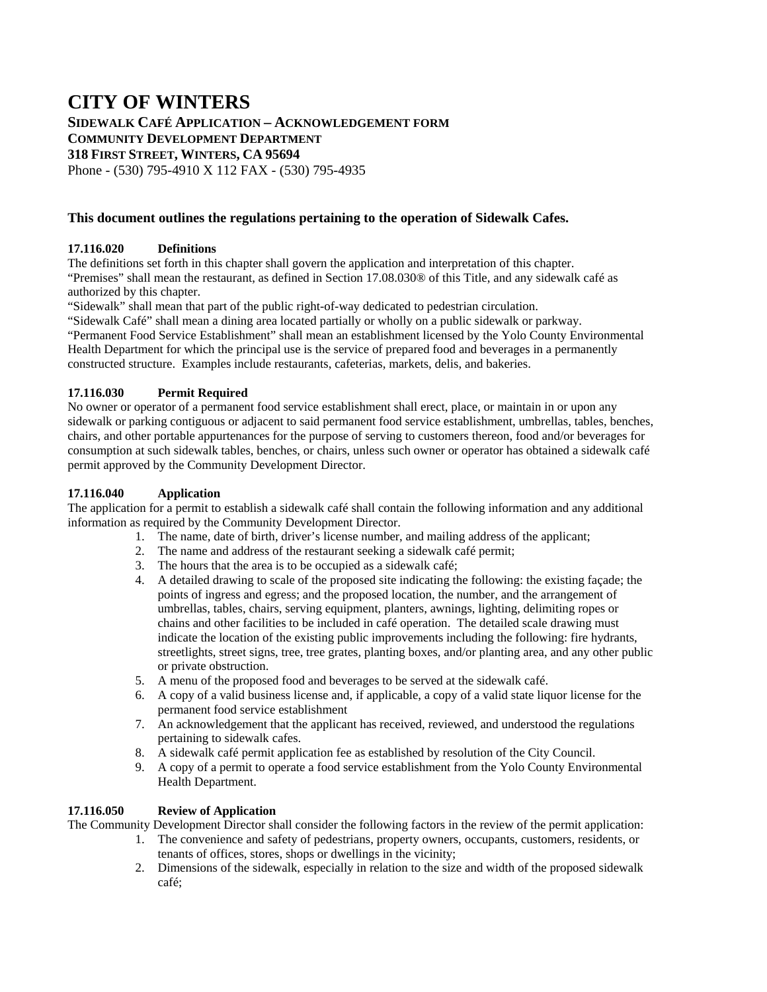## **CITY OF WINTERS**

**SIDEWALK CAFÉ APPLICATION – ACKNOWLEDGEMENT FORM COMMUNITY DEVELOPMENT DEPARTMENT 318 FIRST STREET, WINTERS, CA 95694**  Phone - (530) 795-4910 X 112 FAX - (530) 795-4935

## **This document outlines the regulations pertaining to the operation of Sidewalk Cafes.**

### **17.116.020 Definitions**

The definitions set forth in this chapter shall govern the application and interpretation of this chapter. "Premises" shall mean the restaurant, as defined in Section 17.08.030® of this Title, and any sidewalk café as authorized by this chapter.

"Sidewalk" shall mean that part of the public right-of-way dedicated to pedestrian circulation.

"Sidewalk Café" shall mean a dining area located partially or wholly on a public sidewalk or parkway. "Permanent Food Service Establishment" shall mean an establishment licensed by the Yolo County Environmental Health Department for which the principal use is the service of prepared food and beverages in a permanently constructed structure. Examples include restaurants, cafeterias, markets, delis, and bakeries.

#### **17.116.030 Permit Required**

No owner or operator of a permanent food service establishment shall erect, place, or maintain in or upon any sidewalk or parking contiguous or adjacent to said permanent food service establishment, umbrellas, tables, benches, chairs, and other portable appurtenances for the purpose of serving to customers thereon, food and/or beverages for consumption at such sidewalk tables, benches, or chairs, unless such owner or operator has obtained a sidewalk café permit approved by the Community Development Director.

#### **17.116.040 Application**

The application for a permit to establish a sidewalk café shall contain the following information and any additional information as required by the Community Development Director.

- 1. The name, date of birth, driver's license number, and mailing address of the applicant;
- 2. The name and address of the restaurant seeking a sidewalk café permit;
- 3. The hours that the area is to be occupied as a sidewalk café;
- 4. A detailed drawing to scale of the proposed site indicating the following: the existing façade; the points of ingress and egress; and the proposed location, the number, and the arrangement of umbrellas, tables, chairs, serving equipment, planters, awnings, lighting, delimiting ropes or chains and other facilities to be included in café operation. The detailed scale drawing must indicate the location of the existing public improvements including the following: fire hydrants, streetlights, street signs, tree, tree grates, planting boxes, and/or planting area, and any other public or private obstruction.
- 5. A menu of the proposed food and beverages to be served at the sidewalk café.
- 6. A copy of a valid business license and, if applicable, a copy of a valid state liquor license for the permanent food service establishment
- 7. An acknowledgement that the applicant has received, reviewed, and understood the regulations pertaining to sidewalk cafes.
- 8. A sidewalk café permit application fee as established by resolution of the City Council.
- 9. A copy of a permit to operate a food service establishment from the Yolo County Environmental Health Department.

#### **17.116.050 Review of Application**

The Community Development Director shall consider the following factors in the review of the permit application:

- 1. The convenience and safety of pedestrians, property owners, occupants, customers, residents, or tenants of offices, stores, shops or dwellings in the vicinity;
- 2. Dimensions of the sidewalk, especially in relation to the size and width of the proposed sidewalk café;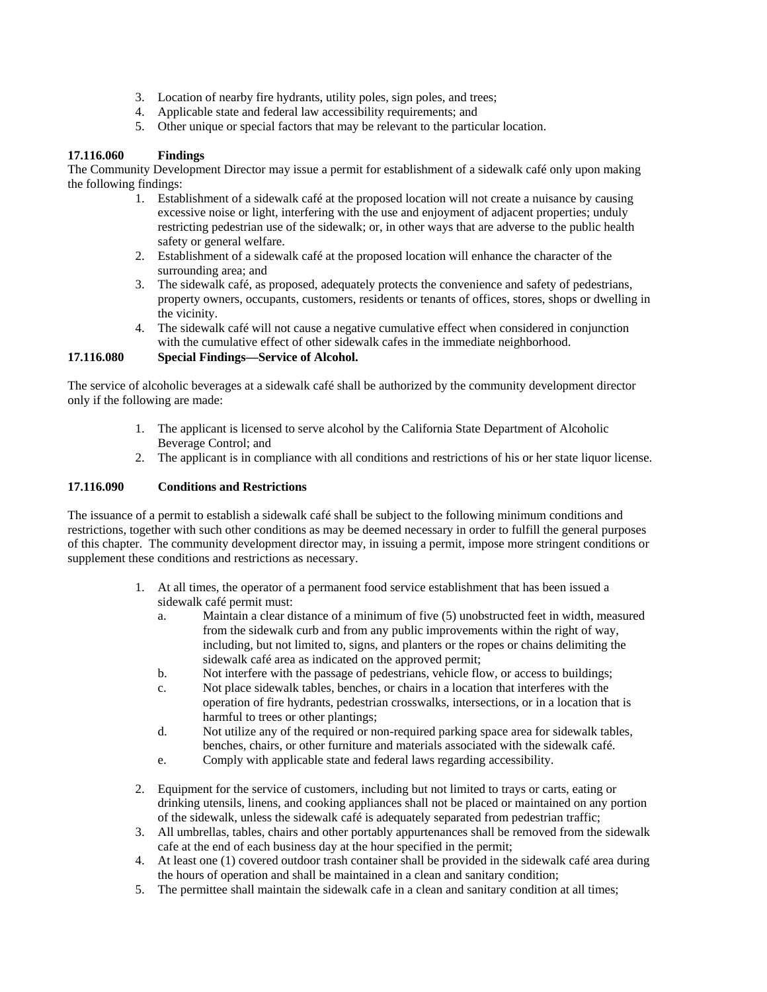- 3. Location of nearby fire hydrants, utility poles, sign poles, and trees;
- 4. Applicable state and federal law accessibility requirements; and
- 5. Other unique or special factors that may be relevant to the particular location.

#### **17.116.060 Findings**

The Community Development Director may issue a permit for establishment of a sidewalk café only upon making the following findings:

- 1. Establishment of a sidewalk café at the proposed location will not create a nuisance by causing excessive noise or light, interfering with the use and enjoyment of adjacent properties; unduly restricting pedestrian use of the sidewalk; or, in other ways that are adverse to the public health safety or general welfare.
- 2. Establishment of a sidewalk café at the proposed location will enhance the character of the surrounding area; and
- 3. The sidewalk café, as proposed, adequately protects the convenience and safety of pedestrians, property owners, occupants, customers, residents or tenants of offices, stores, shops or dwelling in the vicinity.
- 4. The sidewalk café will not cause a negative cumulative effect when considered in conjunction with the cumulative effect of other sidewalk cafes in the immediate neighborhood.

**17.116.080 Special Findings—Service of Alcohol.** 

The service of alcoholic beverages at a sidewalk café shall be authorized by the community development director only if the following are made:

- 1. The applicant is licensed to serve alcohol by the California State Department of Alcoholic Beverage Control; and
- 2. The applicant is in compliance with all conditions and restrictions of his or her state liquor license.

#### **17.116.090 Conditions and Restrictions**

The issuance of a permit to establish a sidewalk café shall be subject to the following minimum conditions and restrictions, together with such other conditions as may be deemed necessary in order to fulfill the general purposes of this chapter. The community development director may, in issuing a permit, impose more stringent conditions or supplement these conditions and restrictions as necessary.

- 1. At all times, the operator of a permanent food service establishment that has been issued a sidewalk café permit must:
	- a. Maintain a clear distance of a minimum of five (5) unobstructed feet in width, measured from the sidewalk curb and from any public improvements within the right of way, including, but not limited to, signs, and planters or the ropes or chains delimiting the sidewalk café area as indicated on the approved permit;
	- b. Not interfere with the passage of pedestrians, vehicle flow, or access to buildings;
	- c. Not place sidewalk tables, benches, or chairs in a location that interferes with the operation of fire hydrants, pedestrian crosswalks, intersections, or in a location that is harmful to trees or other plantings;
	- d. Not utilize any of the required or non-required parking space area for sidewalk tables, benches, chairs, or other furniture and materials associated with the sidewalk café.
	- e. Comply with applicable state and federal laws regarding accessibility.
- 2. Equipment for the service of customers, including but not limited to trays or carts, eating or drinking utensils, linens, and cooking appliances shall not be placed or maintained on any portion of the sidewalk, unless the sidewalk café is adequately separated from pedestrian traffic;
- 3. All umbrellas, tables, chairs and other portably appurtenances shall be removed from the sidewalk cafe at the end of each business day at the hour specified in the permit;
- 4. At least one (1) covered outdoor trash container shall be provided in the sidewalk café area during the hours of operation and shall be maintained in a clean and sanitary condition;
- 5. The permittee shall maintain the sidewalk cafe in a clean and sanitary condition at all times;